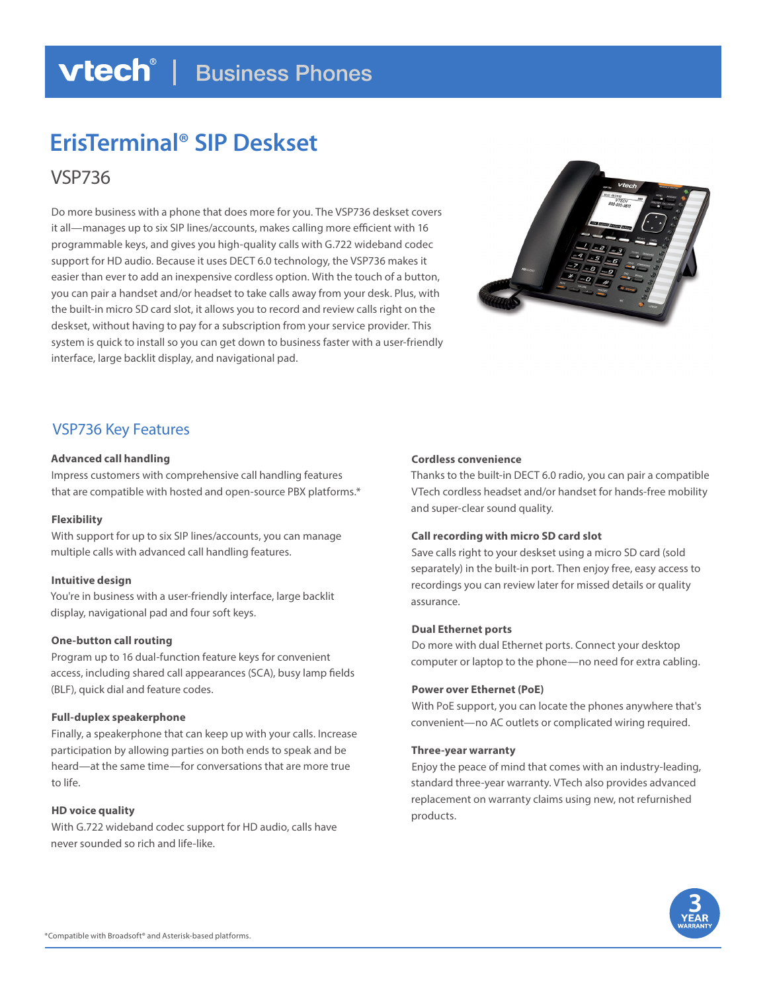# **vtech**<sup>®</sup> | Business Phones

# **ErisTerminal® SIP Deskset**

VSP736

Do more business with a phone that does more for you. The VSP736 deskset covers it all—manages up to six SIP lines/accounts, makes calling more efficient with 16 programmable keys, and gives you high-quality calls with G.722 wideband codec support for HD audio. Because it uses DECT 6.0 technology, the VSP736 makes it easier than ever to add an inexpensive cordless option. With the touch of a button, you can pair a handset and/or headset to take calls away from your desk. Plus, with the built-in micro SD card slot, it allows you to record and review calls right on the deskset, without having to pay for a subscription from your service provider. This system is quick to install so you can get down to business faster with a user-friendly interface, large backlit display, and navigational pad.



# VSP736 Key Features

# **Advanced call handling**

Impress customers with comprehensive call handling features that are compatible with hosted and open-source PBX platforms.\*

# **Flexibility**

With support for up to six SIP lines/accounts, you can manage multiple calls with advanced call handling features.

# **Intuitive design**

You're in business with a user-friendly interface, large backlit display, navigational pad and four soft keys.

# **One-button call routing**

Program up to 16 dual-function feature keys for convenient access, including shared call appearances (SCA), busy lamp fields (BLF), quick dial and feature codes.

# **Full-duplex speakerphone**

Finally, a speakerphone that can keep up with your calls. Increase participation by allowing parties on both ends to speak and be heard—at the same time—for conversations that are more true to life.

# **HD voice quality**

With G.722 wideband codec support for HD audio, calls have never sounded so rich and life-like.

# **Cordless convenience**

Thanks to the built-in DECT 6.0 radio, you can pair a compatible VTech cordless headset and/or handset for hands-free mobility and super-clear sound quality.

# **Call recording with micro SD card slot**

Save calls right to your deskset using a micro SD card (sold separately) in the built-in port. Then enjoy free, easy access to recordings you can review later for missed details or quality assurance.

# **Dual Ethernet ports**

Do more with dual Ethernet ports. Connect your desktop computer or laptop to the phone—no need for extra cabling.

# **Power over Ethernet (PoE)**

With PoE support, you can locate the phones anywhere that's convenient—no AC outlets or complicated wiring required.

# **Three-year warranty**

Enjoy the peace of mind that comes with an industry-leading, standard three-year warranty. VTech also provides advanced replacement on warranty claims using new, not refurnished products.